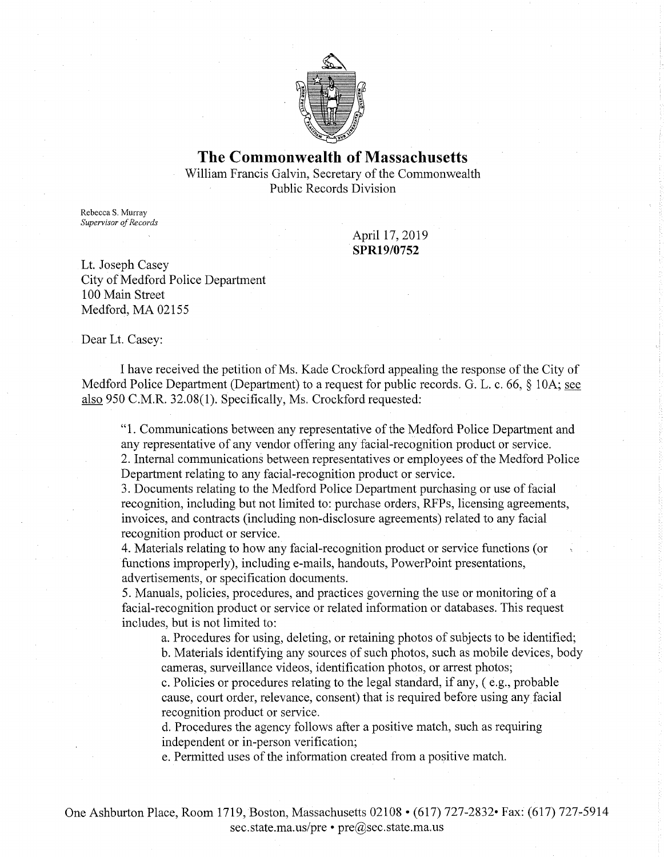

# **The Commonwealth of Massachusetts**  William Francis Galvin, Secretary of the Commonwealth Public Records Division

Rebecca S. Murray *Supervisor of Records* 

April 17, 2019 **SPR19/0752** 

Lt. Joseph Casey City of Medford Police Department 100 Main Street Medford, MA 02155

Dear Lt. Casey:

I have received the petition of Ms. Kade Crockford appealing the response of the City of Medford Police Department (Department) to a request for public records. G. L. c. 66, § 10A; see also 950 C.M.R. 32.08(1). Specifically, Ms. Crockford requested:

"1. Communications between any representative of the Medford Police Department and any representative of any vendor offering any facial-recognition product or service. 2. Internal communications between representatives or employees of the Medford Police Department relating to any facial-recognition product or service.

3. Documents relating to the Medford Police Department purchasing or use of facial recognition, including but not limited to: purchase orders, RFPs, licensing agreements, invoices, and contracts (including non-disclosure agreements) related to any facial recognition product or service.

4. Materials relating to how any facial-recognition product or service functions (or functions improperly), including e-mails, handouts, PowerPoint presentations, advertisements, or specification documents.

5. Manuals, policies, procedures, and practices governing the use or monitoring of a facial-recognition product or service or related information or databases. This request includes, but is not limited to:

a. Procedures for using, deleting, or retaining photos of subjects to be identified; b. Materials identifying any sources pf such photos, such as mobile devices, body cameras, surveillance videos, identification photos, or arrest photos;

c. Policies or procedures relating to the legal standard, if any, ( e.g., probable cause, court order, relevance, consent) that is required before using any facial recognition product or service.

d. Procedures the agency follows after a positive match, such as requiring independent or in-person verification;

e. Permitted uses of the information created from a positive match.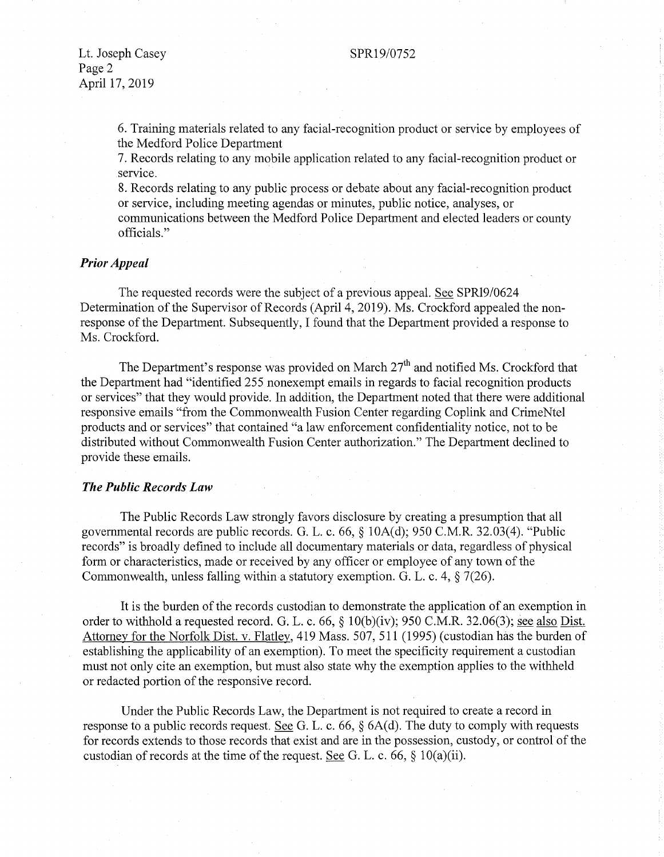#### SPR19/0752

Lt. Joseph Casey Page 2 April 17, 2019

> 6. Training materials related to any facial-recognition product or service by employees of the Medford Police Department

> 7. Records relating to any mobile application related to any facial-recognition product or service.

> 8. Records relating to any public process or debate about any facial-recognition product or service, including meeting agendas or minutes, public notice, analyses, or

> communications between the Medford Police Department and elected leaders or county officials."

### *Prior Appeal*

The requested records were the subject of a previous appeal. See SPR19/0624 Determination of the Supervisor of Records (April 4, 2019). Ms. Crockford appealed the nonresponse of the Department. Subsequently, I found that the Department provided a response to Ms. Crockford.

The Department's response was provided on March  $27<sup>th</sup>$  and notified Ms. Crockford that the Department had "identified 255 nonexempt emails in regards to facial recognition products or services" that they would provide. In addition, the Department noted that there were additional responsive emails "from the Commonwealth Fusion Center regarding Coplink and CrimeNtel products and or services" that contained "a law enforcement confidentiality notice, not to be distributed without Commonwealth Fusion Center authorization." The Department declined to provide these emails.

# *The Public Records Law*

The Public Records Law strongly favors disclosure by creating a presumption that all governmental records are public records. G. L. c. 66, § 10A(d); 950 C.M.R. 32.03(4). "Public records" is broadly defined to include all documentary materials or data, regardless of physical form or characteristics, made or received by any officer or employee of any town of the Commonwealth, unless falling within a statutory exemption. G. L. c. 4, § 7(26).

It is the burden of the records custodian to demonstrate the application of an exemption in order to withhold a requested record. G. L. c. 66, § 10(b)(iv); 950 C.M.R. 32.06(3); <u>see also Dist.</u> Attorney for the Norfolk Dist. v. Flatley, 419 Mass. 507, 511 (1995) (custodian has the burden of establishing the applicability of an exemption). To meet the specificity requirement a custodian must not only cite an exemption, but must also state why the exemption applies to the withheld or redacted portion of the responsive record.

Under the Public Records Law, the Department is not required to create a record in response to a public records request. See G. L. c. 66,  $\S$  6A(d). The duty to comply with requests for records extends to those records that exist and are in the possession, custody, or control of the custodian of records at the time of the request. See G. L. c. 66,  $\S$  10(a)(ii).